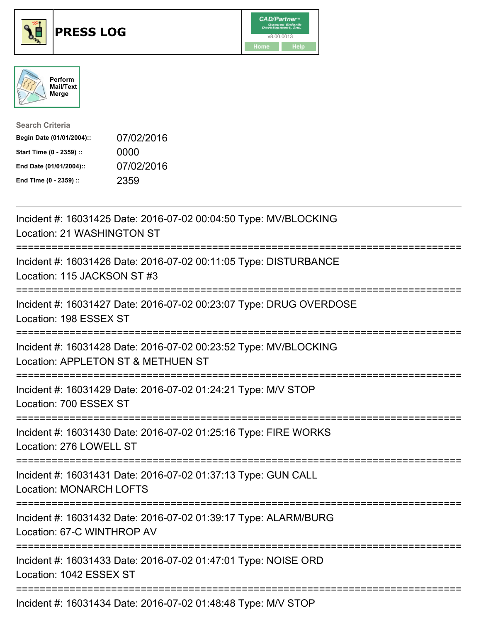





| <b>Search Criteria</b>    |            |
|---------------------------|------------|
| Begin Date (01/01/2004):: | 07/02/2016 |
| Start Time (0 - 2359) ::  | 0000       |
| End Date (01/01/2004)::   | 07/02/2016 |
| End Time (0 - 2359) ::    | 2359       |

| Incident #: 16031425 Date: 2016-07-02 00:04:50 Type: MV/BLOCKING<br>Location: 21 WASHINGTON ST                                      |
|-------------------------------------------------------------------------------------------------------------------------------------|
| Incident #: 16031426 Date: 2016-07-02 00:11:05 Type: DISTURBANCE<br>Location: 115 JACKSON ST #3                                     |
| Incident #: 16031427 Date: 2016-07-02 00:23:07 Type: DRUG OVERDOSE<br>Location: 198 ESSEX ST<br>==================                  |
| Incident #: 16031428 Date: 2016-07-02 00:23:52 Type: MV/BLOCKING<br>Location: APPLETON ST & METHUEN ST<br>------------------------- |
| Incident #: 16031429 Date: 2016-07-02 01:24:21 Type: M/V STOP<br>Location: 700 ESSEX ST                                             |
| Incident #: 16031430 Date: 2016-07-02 01:25:16 Type: FIRE WORKS<br>Location: 276 LOWELL ST                                          |
| Incident #: 16031431 Date: 2016-07-02 01:37:13 Type: GUN CALL<br><b>Location: MONARCH LOFTS</b>                                     |
| Incident #: 16031432 Date: 2016-07-02 01:39:17 Type: ALARM/BURG<br>Location: 67-C WINTHROP AV                                       |
| Incident #: 16031433 Date: 2016-07-02 01:47:01 Type: NOISE ORD<br>Location: 1042 ESSEX ST                                           |
| Incident #: 16031434 Date: 2016-07-02 01:48:48 Type: M/V STOP                                                                       |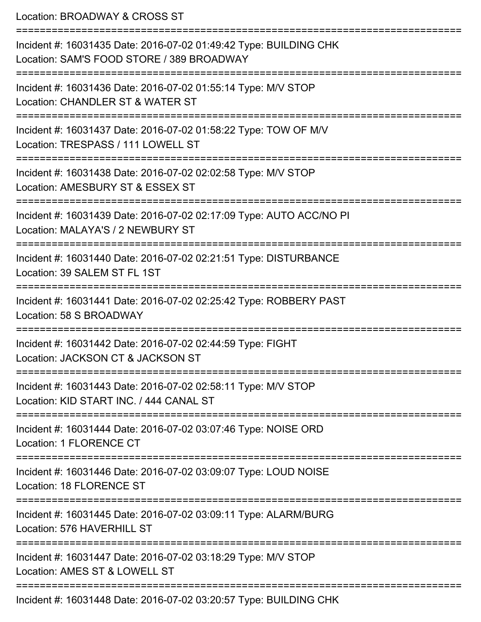Location: BROADWAY & CROSS ST =========================================================================== Incident #: 16031435 Date: 2016-07-02 01:49:42 Type: BUILDING CHK Location: SAM'S FOOD STORE / 389 BROADWAY =========================================================================== Incident #: 16031436 Date: 2016-07-02 01:55:14 Type: M/V STOP Location: CHANDLER ST & WATER ST =========================================================================== Incident #: 16031437 Date: 2016-07-02 01:58:22 Type: TOW OF M/V Location: TRESPASS / 111 LOWELL ST =========================================================================== Incident #: 16031438 Date: 2016-07-02 02:02:58 Type: M/V STOP Location: AMESBURY ST & ESSEX ST =========================================================================== Incident #: 16031439 Date: 2016-07-02 02:17:09 Type: AUTO ACC/NO PI Location: MALAYA'S / 2 NEWBURY ST =========================================================================== Incident #: 16031440 Date: 2016-07-02 02:21:51 Type: DISTURBANCE Location: 39 SALEM ST FL 1ST =========================================================================== Incident #: 16031441 Date: 2016-07-02 02:25:42 Type: ROBBERY PAST Location: 58 S BROADWAY =========================================================================== Incident #: 16031442 Date: 2016-07-02 02:44:59 Type: FIGHT Location: JACKSON CT & JACKSON ST =========================================================================== Incident #: 16031443 Date: 2016-07-02 02:58:11 Type: M/V STOP Location: KID START INC. / 444 CANAL ST =========================================================================== Incident #: 16031444 Date: 2016-07-02 03:07:46 Type: NOISE ORD Location: 1 FLORENCE CT =========================================================================== Incident #: 16031446 Date: 2016-07-02 03:09:07 Type: LOUD NOISE Location: 18 FLORENCE ST =========================================================================== Incident #: 16031445 Date: 2016-07-02 03:09:11 Type: ALARM/BURG Location: 576 HAVERHILL ST =========================================================================== Incident #: 16031447 Date: 2016-07-02 03:18:29 Type: M/V STOP Location: AMES ST & LOWELL ST =========================================================================== Incident #: 16031448 Date: 2016-07-02 03:20:57 Type: BUILDING CHK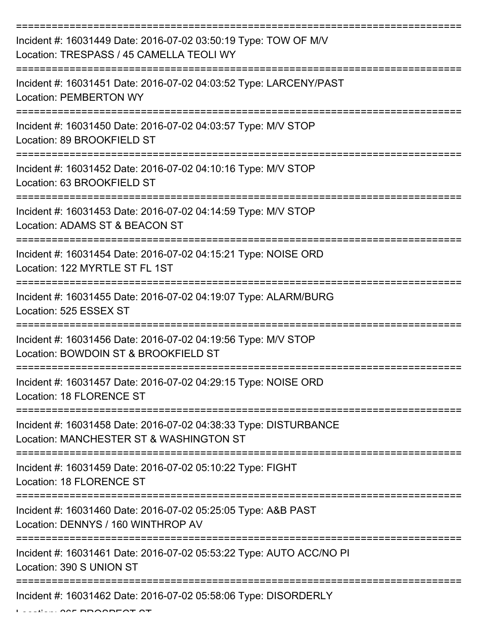| Incident #: 16031449 Date: 2016-07-02 03:50:19 Type: TOW OF M/V<br>Location: TRESPASS / 45 CAMELLA TEOLI WY |
|-------------------------------------------------------------------------------------------------------------|
| Incident #: 16031451 Date: 2016-07-02 04:03:52 Type: LARCENY/PAST<br><b>Location: PEMBERTON WY</b>          |
| Incident #: 16031450 Date: 2016-07-02 04:03:57 Type: M/V STOP<br>Location: 89 BROOKFIELD ST                 |
| Incident #: 16031452 Date: 2016-07-02 04:10:16 Type: M/V STOP<br>Location: 63 BROOKFIELD ST                 |
| Incident #: 16031453 Date: 2016-07-02 04:14:59 Type: M/V STOP<br>Location: ADAMS ST & BEACON ST             |
| Incident #: 16031454 Date: 2016-07-02 04:15:21 Type: NOISE ORD<br>Location: 122 MYRTLE ST FL 1ST            |
| Incident #: 16031455 Date: 2016-07-02 04:19:07 Type: ALARM/BURG<br>Location: 525 ESSEX ST                   |
| Incident #: 16031456 Date: 2016-07-02 04:19:56 Type: M/V STOP<br>Location: BOWDOIN ST & BROOKFIELD ST       |
| Incident #: 16031457 Date: 2016-07-02 04:29:15 Type: NOISE ORD<br>Location: 18 FLORENCE ST                  |
| Incident #: 16031458 Date: 2016-07-02 04:38:33 Type: DISTURBANCE<br>Location: MANCHESTER ST & WASHINGTON ST |
| Incident #: 16031459 Date: 2016-07-02 05:10:22 Type: FIGHT<br>Location: 18 FLORENCE ST                      |
| Incident #: 16031460 Date: 2016-07-02 05:25:05 Type: A&B PAST<br>Location: DENNYS / 160 WINTHROP AV         |
| Incident #: 16031461 Date: 2016-07-02 05:53:22 Type: AUTO ACC/NO PI<br>Location: 390 S UNION ST             |
| Incident #: 16031462 Date: 2016-07-02 05:58:06 Type: DISORDERLY                                             |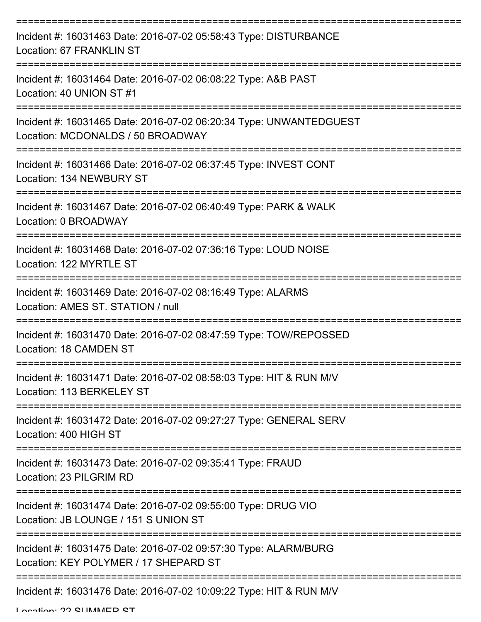| Incident #: 16031463 Date: 2016-07-02 05:58:43 Type: DISTURBANCE<br>Location: 67 FRANKLIN ST                               |
|----------------------------------------------------------------------------------------------------------------------------|
| Incident #: 16031464 Date: 2016-07-02 06:08:22 Type: A&B PAST<br>Location: 40 UNION ST #1                                  |
| Incident #: 16031465 Date: 2016-07-02 06:20:34 Type: UNWANTEDGUEST<br>Location: MCDONALDS / 50 BROADWAY                    |
| Incident #: 16031466 Date: 2016-07-02 06:37:45 Type: INVEST CONT<br>Location: 134 NEWBURY ST                               |
| Incident #: 16031467 Date: 2016-07-02 06:40:49 Type: PARK & WALK<br>Location: 0 BROADWAY<br>============================== |
| Incident #: 16031468 Date: 2016-07-02 07:36:16 Type: LOUD NOISE<br>Location: 122 MYRTLE ST                                 |
| Incident #: 16031469 Date: 2016-07-02 08:16:49 Type: ALARMS<br>Location: AMES ST. STATION / null                           |
| Incident #: 16031470 Date: 2016-07-02 08:47:59 Type: TOW/REPOSSED<br>Location: 18 CAMDEN ST                                |
| Incident #: 16031471 Date: 2016-07-02 08:58:03 Type: HIT & RUN M/V<br>Location: 113 BERKELEY ST                            |
| Incident #: 16031472 Date: 2016-07-02 09:27:27 Type: GENERAL SERV<br>Location: 400 HIGH ST                                 |
| Incident #: 16031473 Date: 2016-07-02 09:35:41 Type: FRAUD<br>Location: 23 PILGRIM RD                                      |
| Incident #: 16031474 Date: 2016-07-02 09:55:00 Type: DRUG VIO<br>Location: JB LOUNGE / 151 S UNION ST                      |
| Incident #: 16031475 Date: 2016-07-02 09:57:30 Type: ALARM/BURG<br>Location: KEY POLYMER / 17 SHEPARD ST                   |
| Incident #: 16031476 Date: 2016-07-02 10:09:22 Type: HIT & RUN M/V                                                         |

Location: 22 CLIMMED CT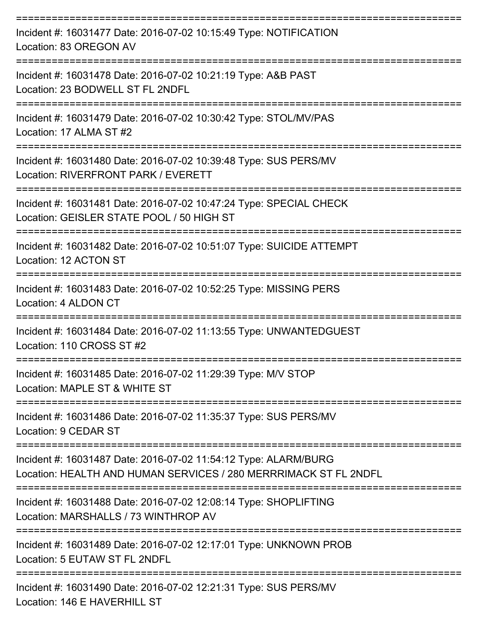| Incident #: 16031477 Date: 2016-07-02 10:15:49 Type: NOTIFICATION<br>Location: 83 OREGON AV                                         |
|-------------------------------------------------------------------------------------------------------------------------------------|
| Incident #: 16031478 Date: 2016-07-02 10:21:19 Type: A&B PAST<br>Location: 23 BODWELL ST FL 2NDFL                                   |
| Incident #: 16031479 Date: 2016-07-02 10:30:42 Type: STOL/MV/PAS<br>Location: 17 ALMA ST #2                                         |
| Incident #: 16031480 Date: 2016-07-02 10:39:48 Type: SUS PERS/MV<br>Location: RIVERFRONT PARK / EVERETT                             |
| Incident #: 16031481 Date: 2016-07-02 10:47:24 Type: SPECIAL CHECK<br>Location: GEISLER STATE POOL / 50 HIGH ST                     |
| Incident #: 16031482 Date: 2016-07-02 10:51:07 Type: SUICIDE ATTEMPT<br>Location: 12 ACTON ST                                       |
| Incident #: 16031483 Date: 2016-07-02 10:52:25 Type: MISSING PERS<br>Location: 4 ALDON CT                                           |
| Incident #: 16031484 Date: 2016-07-02 11:13:55 Type: UNWANTEDGUEST<br>Location: 110 CROSS ST #2                                     |
| Incident #: 16031485 Date: 2016-07-02 11:29:39 Type: M/V STOP<br>Location: MAPLE ST & WHITE ST                                      |
| Incident #: 16031486 Date: 2016-07-02 11:35:37 Type: SUS PERS/MV<br>Location: 9 CEDAR ST                                            |
| Incident #: 16031487 Date: 2016-07-02 11:54:12 Type: ALARM/BURG<br>Location: HEALTH AND HUMAN SERVICES / 280 MERRRIMACK ST FL 2NDFL |
| Incident #: 16031488 Date: 2016-07-02 12:08:14 Type: SHOPLIFTING<br>Location: MARSHALLS / 73 WINTHROP AV                            |
| Incident #: 16031489 Date: 2016-07-02 12:17:01 Type: UNKNOWN PROB<br>Location: 5 EUTAW ST FL 2NDFL                                  |
| Incident #: 16031490 Date: 2016-07-02 12:21:31 Type: SUS PERS/MV<br>Location: 146 E HAVERHILL ST                                    |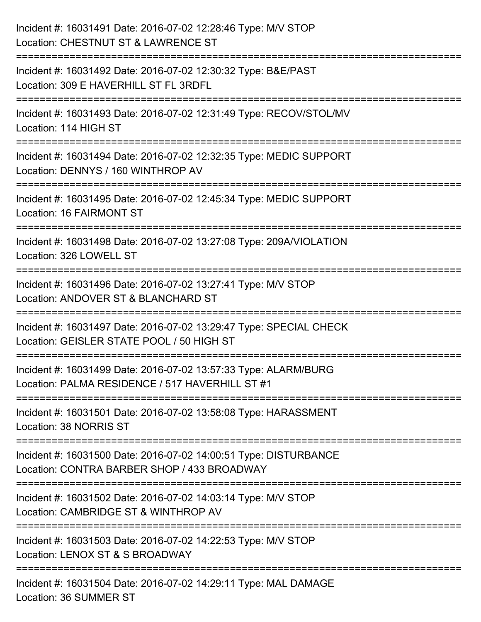| Incident #: 16031491 Date: 2016-07-02 12:28:46 Type: M/V STOP<br>Location: CHESTNUT ST & LAWRENCE ST                                                       |
|------------------------------------------------------------------------------------------------------------------------------------------------------------|
| :===============================<br>Incident #: 16031492 Date: 2016-07-02 12:30:32 Type: B&E/PAST<br>Location: 309 E HAVERHILL ST FL 3RDFL                 |
| Incident #: 16031493 Date: 2016-07-02 12:31:49 Type: RECOV/STOL/MV<br>Location: 114 HIGH ST<br>==========================<br>----------------------------- |
| Incident #: 16031494 Date: 2016-07-02 12:32:35 Type: MEDIC SUPPORT<br>Location: DENNYS / 160 WINTHROP AV                                                   |
| Incident #: 16031495 Date: 2016-07-02 12:45:34 Type: MEDIC SUPPORT<br>Location: 16 FAIRMONT ST                                                             |
| Incident #: 16031498 Date: 2016-07-02 13:27:08 Type: 209A/VIOLATION<br>Location: 326 LOWELL ST                                                             |
| Incident #: 16031496 Date: 2016-07-02 13:27:41 Type: M/V STOP<br>Location: ANDOVER ST & BLANCHARD ST                                                       |
| Incident #: 16031497 Date: 2016-07-02 13:29:47 Type: SPECIAL CHECK<br>Location: GEISLER STATE POOL / 50 HIGH ST                                            |
| Incident #: 16031499 Date: 2016-07-02 13:57:33 Type: ALARM/BURG<br>Location: PALMA RESIDENCE / 517 HAVERHILL ST #1                                         |
| Incident #: 16031501 Date: 2016-07-02 13:58:08 Type: HARASSMENT<br>Location: 38 NORRIS ST                                                                  |
| Incident #: 16031500 Date: 2016-07-02 14:00:51 Type: DISTURBANCE<br>Location: CONTRA BARBER SHOP / 433 BROADWAY                                            |
| Incident #: 16031502 Date: 2016-07-02 14:03:14 Type: M/V STOP<br>Location: CAMBRIDGE ST & WINTHROP AV                                                      |
| Incident #: 16031503 Date: 2016-07-02 14:22:53 Type: M/V STOP<br>Location: LENOX ST & S BROADWAY                                                           |
| Incident #: 16031504 Date: 2016-07-02 14:29:11 Type: MAL DAMAGE<br>Location: 36 SUMMER ST                                                                  |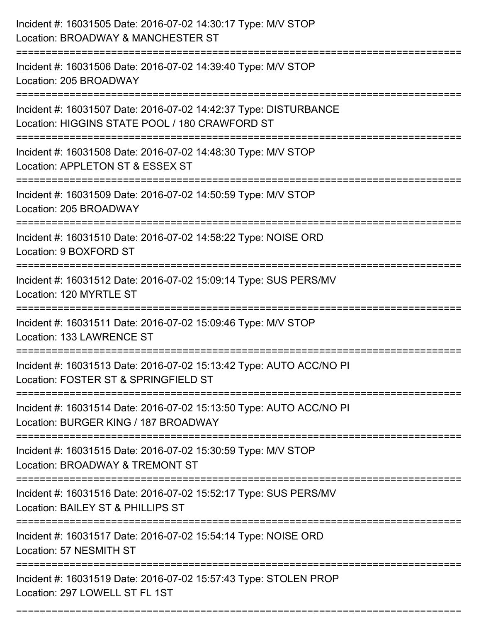| Incident #: 16031505 Date: 2016-07-02 14:30:17 Type: M/V STOP<br>Location: BROADWAY & MANCHESTER ST                                         |
|---------------------------------------------------------------------------------------------------------------------------------------------|
| Incident #: 16031506 Date: 2016-07-02 14:39:40 Type: M/V STOP<br>Location: 205 BROADWAY                                                     |
| Incident #: 16031507 Date: 2016-07-02 14:42:37 Type: DISTURBANCE<br>Location: HIGGINS STATE POOL / 180 CRAWFORD ST<br>===================== |
| Incident #: 16031508 Date: 2016-07-02 14:48:30 Type: M/V STOP<br>Location: APPLETON ST & ESSEX ST                                           |
| Incident #: 16031509 Date: 2016-07-02 14:50:59 Type: M/V STOP<br>Location: 205 BROADWAY<br>:===============================                 |
| Incident #: 16031510 Date: 2016-07-02 14:58:22 Type: NOISE ORD<br>Location: 9 BOXFORD ST                                                    |
| Incident #: 16031512 Date: 2016-07-02 15:09:14 Type: SUS PERS/MV<br>Location: 120 MYRTLE ST                                                 |
| Incident #: 16031511 Date: 2016-07-02 15:09:46 Type: M/V STOP<br>Location: 133 LAWRENCE ST                                                  |
| Incident #: 16031513 Date: 2016-07-02 15:13:42 Type: AUTO ACC/NO PI<br>Location: FOSTER ST & SPRINGFIELD ST                                 |
| Incident #: 16031514 Date: 2016-07-02 15:13:50 Type: AUTO ACC/NO PI<br>Location: BURGER KING / 187 BROADWAY                                 |
| Incident #: 16031515 Date: 2016-07-02 15:30:59 Type: M/V STOP<br>Location: BROADWAY & TREMONT ST                                            |
| Incident #: 16031516 Date: 2016-07-02 15:52:17 Type: SUS PERS/MV<br>Location: BAILEY ST & PHILLIPS ST                                       |
| Incident #: 16031517 Date: 2016-07-02 15:54:14 Type: NOISE ORD<br>Location: 57 NESMITH ST                                                   |
| Incident #: 16031519 Date: 2016-07-02 15:57:43 Type: STOLEN PROP<br>Location: 297 LOWELL ST FL 1ST                                          |

===========================================================================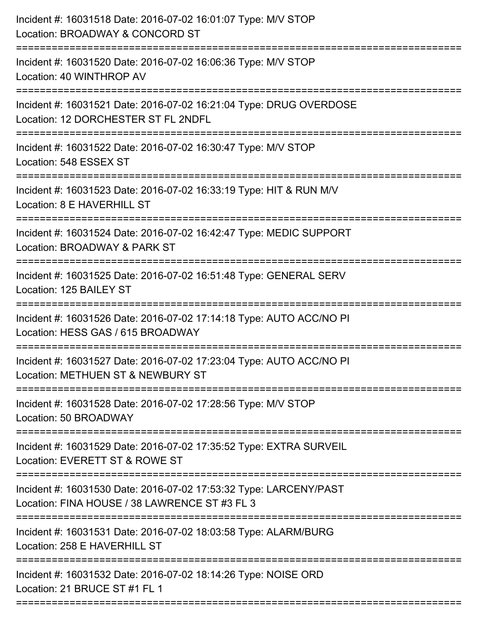| Incident #: 16031518 Date: 2016-07-02 16:01:07 Type: M/V STOP<br>Location: BROADWAY & CONCORD ST                                              |
|-----------------------------------------------------------------------------------------------------------------------------------------------|
| Incident #: 16031520 Date: 2016-07-02 16:06:36 Type: M/V STOP<br>Location: 40 WINTHROP AV                                                     |
| Incident #: 16031521 Date: 2016-07-02 16:21:04 Type: DRUG OVERDOSE<br>Location: 12 DORCHESTER ST FL 2NDFL<br>================================ |
| Incident #: 16031522 Date: 2016-07-02 16:30:47 Type: M/V STOP<br>Location: 548 ESSEX ST                                                       |
| Incident #: 16031523 Date: 2016-07-02 16:33:19 Type: HIT & RUN M/V<br>Location: 8 E HAVERHILL ST                                              |
| Incident #: 16031524 Date: 2016-07-02 16:42:47 Type: MEDIC SUPPORT<br>Location: BROADWAY & PARK ST                                            |
| Incident #: 16031525 Date: 2016-07-02 16:51:48 Type: GENERAL SERV<br>Location: 125 BAILEY ST                                                  |
| Incident #: 16031526 Date: 2016-07-02 17:14:18 Type: AUTO ACC/NO PI<br>Location: HESS GAS / 615 BROADWAY                                      |
| Incident #: 16031527 Date: 2016-07-02 17:23:04 Type: AUTO ACC/NO PI<br>Location: METHUEN ST & NEWBURY ST                                      |
| Incident #: 16031528 Date: 2016-07-02 17:28:56 Type: M/V STOP<br>Location: 50 BROADWAY                                                        |
| Incident #: 16031529 Date: 2016-07-02 17:35:52 Type: EXTRA SURVEIL<br>Location: EVERETT ST & ROWE ST                                          |
| Incident #: 16031530 Date: 2016-07-02 17:53:32 Type: LARCENY/PAST<br>Location: FINA HOUSE / 38 LAWRENCE ST #3 FL 3                            |
| Incident #: 16031531 Date: 2016-07-02 18:03:58 Type: ALARM/BURG<br>Location: 258 E HAVERHILL ST                                               |
| Incident #: 16031532 Date: 2016-07-02 18:14:26 Type: NOISE ORD<br>Location: 21 BRUCE ST #1 FL 1                                               |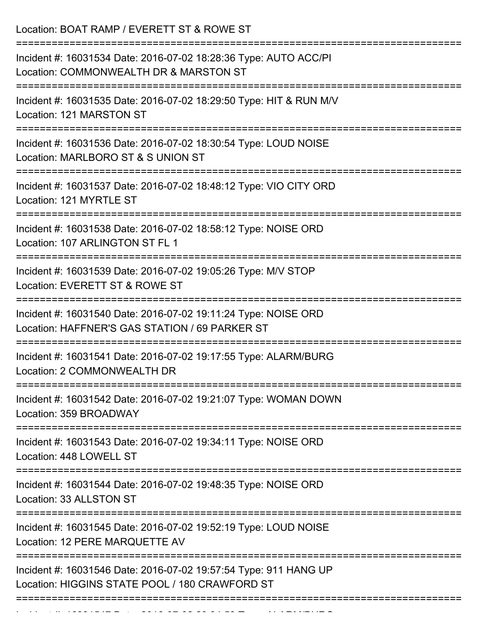Location: BOAT RAMP / EVERETT ST & ROWE ST =========================================================================== Incident #: 16031534 Date: 2016-07-02 18:28:36 Type: AUTO ACC/PI Location: COMMONWEALTH DR & MARSTON ST =========================================================================== Incident #: 16031535 Date: 2016-07-02 18:29:50 Type: HIT & RUN M/V Location: 121 MARSTON ST =========================================================================== Incident #: 16031536 Date: 2016-07-02 18:30:54 Type: LOUD NOISE Location: MARLBORO ST & S UNION ST =========================================================================== Incident #: 16031537 Date: 2016-07-02 18:48:12 Type: VIO CITY ORD Location: 121 MYRTLE ST =========================================================================== Incident #: 16031538 Date: 2016-07-02 18:58:12 Type: NOISE ORD Location: 107 ARLINGTON ST FL 1 =========================================================================== Incident #: 16031539 Date: 2016-07-02 19:05:26 Type: M/V STOP Location: EVERETT ST & ROWE ST =========================================================================== Incident #: 16031540 Date: 2016-07-02 19:11:24 Type: NOISE ORD Location: HAFFNER'S GAS STATION / 69 PARKER ST =========================================================================== Incident #: 16031541 Date: 2016-07-02 19:17:55 Type: ALARM/BURG Location: 2 COMMONWEALTH DR =========================================================================== Incident #: 16031542 Date: 2016-07-02 19:21:07 Type: WOMAN DOWN Location: 359 BROADWAY =========================================================================== Incident #: 16031543 Date: 2016-07-02 19:34:11 Type: NOISE ORD Location: 448 LOWELL ST =========================================================================== Incident #: 16031544 Date: 2016-07-02 19:48:35 Type: NOISE ORD Location: 33 ALLSTON ST =========================================================================== Incident #: 16031545 Date: 2016-07-02 19:52:19 Type: LOUD NOISE Location: 12 PERE MARQUETTE AV =========================================================================== Incident #: 16031546 Date: 2016-07-02 19:57:54 Type: 911 HANG UP Location: HIGGINS STATE POOL / 180 CRAWFORD ST ===========================================================================

Incident #: 16031547 Date: 2016 07 02 20:04:53 Type: ALARM/BURG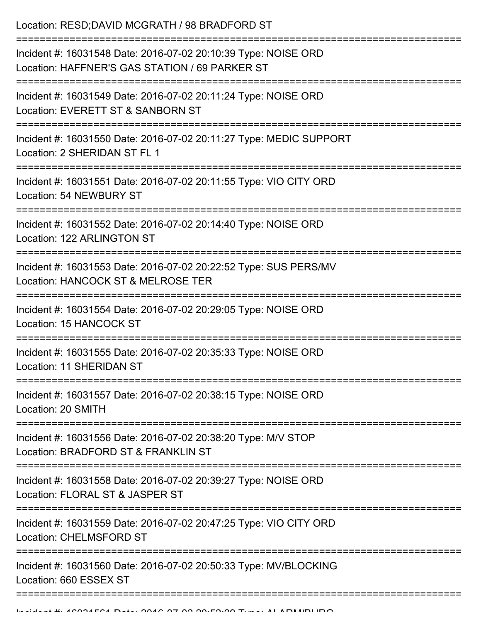Location: RESD;DAVID MCGRATH / 98 BRADFORD ST =========================================================================== Incident #: 16031548 Date: 2016-07-02 20:10:39 Type: NOISE ORD Location: HAFFNER'S GAS STATION / 69 PARKER ST =========================================================================== Incident #: 16031549 Date: 2016-07-02 20:11:24 Type: NOISE ORD Location: EVERETT ST & SANBORN ST =========================================================================== Incident #: 16031550 Date: 2016-07-02 20:11:27 Type: MEDIC SUPPORT Location: 2 SHERIDAN ST FL 1 =========================================================================== Incident #: 16031551 Date: 2016-07-02 20:11:55 Type: VIO CITY ORD Location: 54 NEWBURY ST =========================================================================== Incident #: 16031552 Date: 2016-07-02 20:14:40 Type: NOISE ORD Location: 122 ARLINGTON ST =========================================================================== Incident #: 16031553 Date: 2016-07-02 20:22:52 Type: SUS PERS/MV Location: HANCOCK ST & MELROSE TER =========================================================================== Incident #: 16031554 Date: 2016-07-02 20:29:05 Type: NOISE ORD Location: 15 HANCOCK ST =========================================================================== Incident #: 16031555 Date: 2016-07-02 20:35:33 Type: NOISE ORD Location: 11 SHERIDAN ST =========================================================================== Incident #: 16031557 Date: 2016-07-02 20:38:15 Type: NOISE ORD Location: 20 SMITH =========================================================================== Incident #: 16031556 Date: 2016-07-02 20:38:20 Type: M/V STOP Location: BRADEORD ST & FRANKLIN ST =========================================================================== Incident #: 16031558 Date: 2016-07-02 20:39:27 Type: NOISE ORD Location: FLORAL ST & JASPER ST =========================================================================== Incident #: 16031559 Date: 2016-07-02 20:47:25 Type: VIO CITY ORD Location: CHELMSFORD ST =========================================================================== Incident #: 16031560 Date: 2016-07-02 20:50:33 Type: MV/BLOCKING Location: 660 ESSEX ST =============================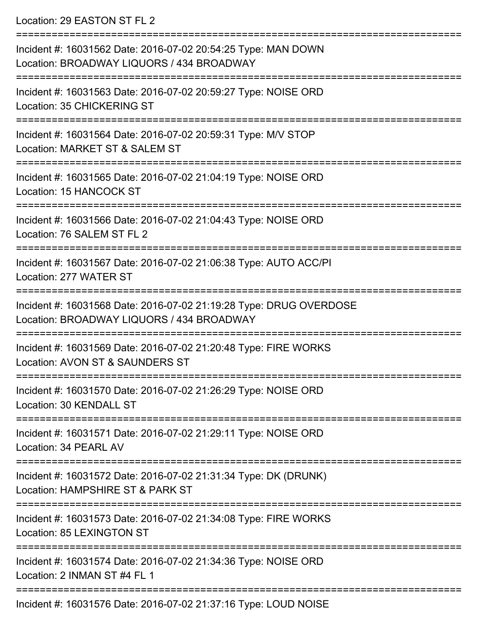Location: 29 EASTON ST FL 2

| Incident #: 16031562 Date: 2016-07-02 20:54:25 Type: MAN DOWN<br>Location: BROADWAY LIQUORS / 434 BROADWAY      |
|-----------------------------------------------------------------------------------------------------------------|
| Incident #: 16031563 Date: 2016-07-02 20:59:27 Type: NOISE ORD<br><b>Location: 35 CHICKERING ST</b>             |
| Incident #: 16031564 Date: 2016-07-02 20:59:31 Type: M/V STOP<br>Location: MARKET ST & SALEM ST                 |
| Incident #: 16031565 Date: 2016-07-02 21:04:19 Type: NOISE ORD<br>Location: 15 HANCOCK ST                       |
| Incident #: 16031566 Date: 2016-07-02 21:04:43 Type: NOISE ORD<br>Location: 76 SALEM ST FL 2                    |
| Incident #: 16031567 Date: 2016-07-02 21:06:38 Type: AUTO ACC/PI<br>Location: 277 WATER ST                      |
| Incident #: 16031568 Date: 2016-07-02 21:19:28 Type: DRUG OVERDOSE<br>Location: BROADWAY LIQUORS / 434 BROADWAY |
| Incident #: 16031569 Date: 2016-07-02 21:20:48 Type: FIRE WORKS<br>Location: AVON ST & SAUNDERS ST              |
| Incident #: 16031570 Date: 2016-07-02 21:26:29 Type: NOISE ORD<br>Location: 30 KENDALL ST                       |
| Incident #: 16031571 Date: 2016-07-02 21:29:11 Type: NOISE ORD<br>Location: 34 PEARL AV                         |
| Incident #: 16031572 Date: 2016-07-02 21:31:34 Type: DK (DRUNK)<br>Location: HAMPSHIRE ST & PARK ST             |
| Incident #: 16031573 Date: 2016-07-02 21:34:08 Type: FIRE WORKS<br><b>Location: 85 LEXINGTON ST</b>             |
| Incident #: 16031574 Date: 2016-07-02 21:34:36 Type: NOISE ORD<br>Location: 2 INMAN ST #4 FL 1                  |
| Incident #: 16031576 Date: 2016-07-02 21:37:16 Type: LOUD NOISE                                                 |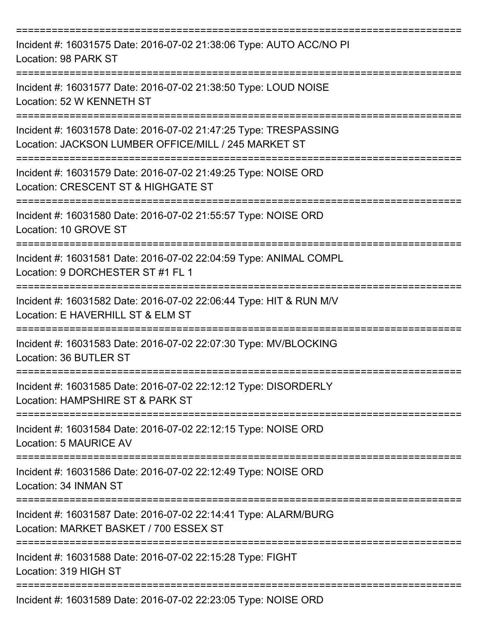| Incident #: 16031575 Date: 2016-07-02 21:38:06 Type: AUTO ACC/NO PI<br>Location: 98 PARK ST                                                   |
|-----------------------------------------------------------------------------------------------------------------------------------------------|
| Incident #: 16031577 Date: 2016-07-02 21:38:50 Type: LOUD NOISE<br>Location: 52 W KENNETH ST                                                  |
| Incident #: 16031578 Date: 2016-07-02 21:47:25 Type: TRESPASSING<br>Location: JACKSON LUMBER OFFICE/MILL / 245 MARKET ST<br>----------------- |
| Incident #: 16031579 Date: 2016-07-02 21:49:25 Type: NOISE ORD<br>Location: CRESCENT ST & HIGHGATE ST                                         |
| Incident #: 16031580 Date: 2016-07-02 21:55:57 Type: NOISE ORD<br>Location: 10 GROVE ST                                                       |
| Incident #: 16031581 Date: 2016-07-02 22:04:59 Type: ANIMAL COMPL<br>Location: 9 DORCHESTER ST #1 FL 1                                        |
| Incident #: 16031582 Date: 2016-07-02 22:06:44 Type: HIT & RUN M/V<br>Location: E HAVERHILL ST & ELM ST                                       |
| Incident #: 16031583 Date: 2016-07-02 22:07:30 Type: MV/BLOCKING<br>Location: 36 BUTLER ST                                                    |
| Incident #: 16031585 Date: 2016-07-02 22:12:12 Type: DISORDERLY<br>Location: HAMPSHIRE ST & PARK ST                                           |
| Incident #: 16031584 Date: 2016-07-02 22:12:15 Type: NOISE ORD<br>Location: 5 MAURICE AV                                                      |
| Incident #: 16031586 Date: 2016-07-02 22:12:49 Type: NOISE ORD<br>Location: 34 INMAN ST                                                       |
| Incident #: 16031587 Date: 2016-07-02 22:14:41 Type: ALARM/BURG<br>Location: MARKET BASKET / 700 ESSEX ST                                     |
| Incident #: 16031588 Date: 2016-07-02 22:15:28 Type: FIGHT<br>Location: 319 HIGH ST                                                           |
| Incident #: 16031589 Date: 2016-07-02 22:23:05 Type: NOISE ORD                                                                                |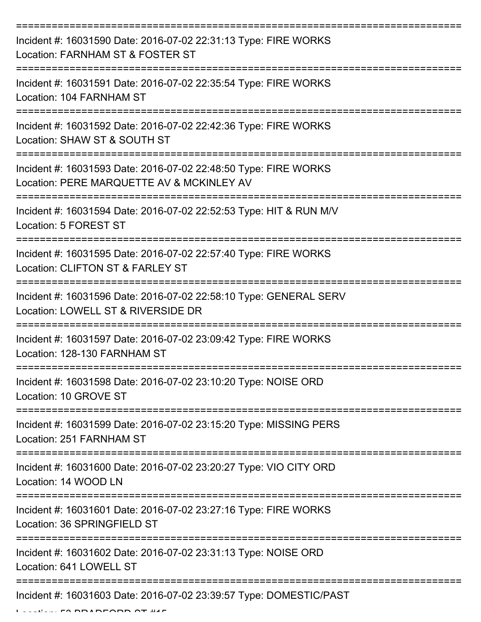| Incident #: 16031590 Date: 2016-07-02 22:31:13 Type: FIRE WORKS<br>Location: FARNHAM ST & FOSTER ST                              |
|----------------------------------------------------------------------------------------------------------------------------------|
| Incident #: 16031591 Date: 2016-07-02 22:35:54 Type: FIRE WORKS<br>Location: 104 FARNHAM ST                                      |
| Incident #: 16031592 Date: 2016-07-02 22:42:36 Type: FIRE WORKS<br>Location: SHAW ST & SOUTH ST                                  |
| Incident #: 16031593 Date: 2016-07-02 22:48:50 Type: FIRE WORKS<br>Location: PERE MARQUETTE AV & MCKINLEY AV                     |
| Incident #: 16031594 Date: 2016-07-02 22:52:53 Type: HIT & RUN M/V<br>Location: 5 FOREST ST                                      |
| =========================<br>Incident #: 16031595 Date: 2016-07-02 22:57:40 Type: FIRE WORKS<br>Location: CLIFTON ST & FARLEY ST |
| Incident #: 16031596 Date: 2016-07-02 22:58:10 Type: GENERAL SERV<br>Location: LOWELL ST & RIVERSIDE DR                          |
| Incident #: 16031597 Date: 2016-07-02 23:09:42 Type: FIRE WORKS<br>Location: 128-130 FARNHAM ST                                  |
| Incident #: 16031598 Date: 2016-07-02 23:10:20 Type: NOISE ORD<br>Location: 10 GROVE ST                                          |
| Incident #: 16031599 Date: 2016-07-02 23:15:20 Type: MISSING PERS<br>Location: 251 FARNHAM ST                                    |
| Incident #: 16031600 Date: 2016-07-02 23:20:27 Type: VIO CITY ORD<br>Location: 14 WOOD LN                                        |
| Incident #: 16031601 Date: 2016-07-02 23:27:16 Type: FIRE WORKS<br>Location: 36 SPRINGFIELD ST                                   |
| Incident #: 16031602 Date: 2016-07-02 23:31:13 Type: NOISE ORD<br>Location: 641 LOWELL ST                                        |
| Incident #: 16031603 Date: 2016-07-02 23:39:57 Type: DOMESTIC/PAST                                                               |